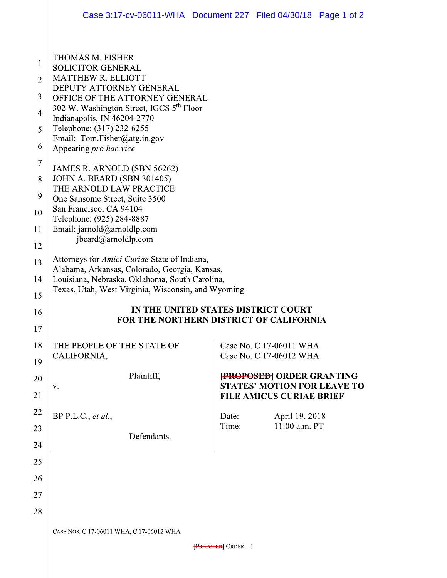|                                                                     | Case 3:17-cv-06011-WHA  Document 227  Filed 04/30/18  Page 1 of 2                                                                                                                                                                                                                                                                                                                                            |                |                                                                                                         |  |
|---------------------------------------------------------------------|--------------------------------------------------------------------------------------------------------------------------------------------------------------------------------------------------------------------------------------------------------------------------------------------------------------------------------------------------------------------------------------------------------------|----------------|---------------------------------------------------------------------------------------------------------|--|
| 1<br>$\overline{2}$<br>3<br>$\overline{4}$<br>5<br>6<br>7<br>8<br>9 | THOMAS M. FISHER<br><b>SOLICITOR GENERAL</b><br><b>MATTHEW R. ELLIOTT</b><br>DEPUTY ATTORNEY GENERAL<br>OFFICE OF THE ATTORNEY GENERAL<br>302 W. Washington Street, IGCS 5 <sup>th</sup> Floor<br>Indianapolis, IN 46204-2770<br>Telephone: (317) 232-6255<br>Email: Tom.Fisher@atg.in.gov<br>Appearing pro hac vice<br>JAMES R. ARNOLD (SBN 56262)<br>JOHN A. BEARD (SBN 301405)<br>THE ARNOLD LAW PRACTICE |                |                                                                                                         |  |
| 10<br>11                                                            | One Sansome Street, Suite 3500<br>San Francisco, CA 94104<br>Telephone: (925) 284-8887<br>Email: jarnold@arnoldlp.com<br>jbeard@arnoldlp.com                                                                                                                                                                                                                                                                 |                |                                                                                                         |  |
| 12<br>13<br>14<br>15                                                | Attorneys for <i>Amici Curiae</i> State of Indiana,<br>Alabama, Arkansas, Colorado, Georgia, Kansas,<br>Louisiana, Nebraska, Oklahoma, South Carolina,<br>Texas, Utah, West Virginia, Wisconsin, and Wyoming<br>IN THE UNITED STATES DISTRICT COURT<br><b>FOR THE NORTHERN DISTRICT OF CALIFORNIA</b>                                                                                                        |                |                                                                                                         |  |
| 16<br>17                                                            |                                                                                                                                                                                                                                                                                                                                                                                                              |                |                                                                                                         |  |
| 18<br>19                                                            | THE PEOPLE OF THE STATE OF<br>CALIFORNIA,                                                                                                                                                                                                                                                                                                                                                                    |                | Case No. C 17-06011 WHA<br>Case No. C 17-06012 WHA                                                      |  |
| 20<br>21                                                            | Plaintiff,<br>V.                                                                                                                                                                                                                                                                                                                                                                                             |                | <b>FROPOSED ORDER GRANTING</b><br><b>STATES' MOTION FOR LEAVE TO</b><br><b>FILE AMICUS CURIAE BRIEF</b> |  |
| 22<br>23<br>24                                                      | BP P.L.C., et al.,<br>Defendants.                                                                                                                                                                                                                                                                                                                                                                            | Date:<br>Time: | April 19, 2018<br>11:00 a.m. PT                                                                         |  |
| 25<br>26                                                            |                                                                                                                                                                                                                                                                                                                                                                                                              |                |                                                                                                         |  |
| 27<br>28                                                            |                                                                                                                                                                                                                                                                                                                                                                                                              |                |                                                                                                         |  |
|                                                                     | CASE NOS. C 17-06011 WHA, C 17-06012 WHA                                                                                                                                                                                                                                                                                                                                                                     |                |                                                                                                         |  |
|                                                                     | $[$ <b>PROPOSED</b> $]$ ORDER $-1$                                                                                                                                                                                                                                                                                                                                                                           |                |                                                                                                         |  |